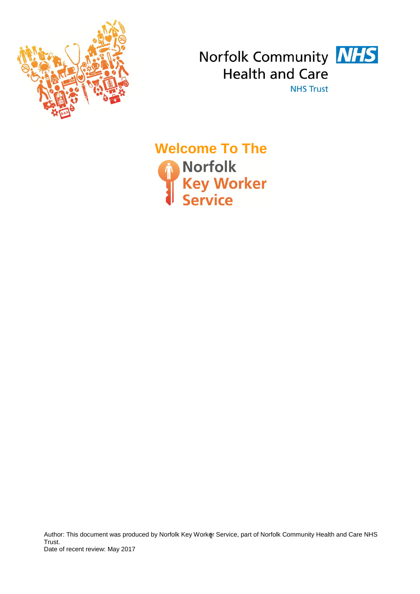



**Welcome To The<br>
A Norfolk<br>
Key Worker<br>
Service** 

Author: This document was produced by Norfolk Key Worker Service, part of Norfolk Community Health and Care NHS<br>-Trust. Date of recent review: May 2017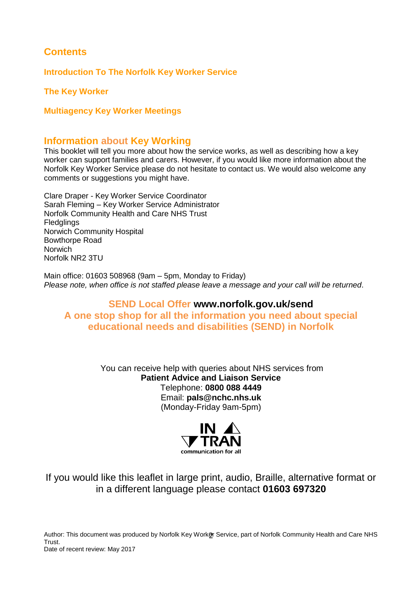# **Contents**

**Introduction To The Norfolk Key Worker Service**

**The Key Worker**

## **Multiagency Key Worker Meetings**

## **Information about Key Working**

This booklet will tell you more about how the service works, as well as describing how a key worker can support families and carers. However, if you would like more information about the Norfolk Key Worker Service please do not hesitate to contact us. We would also welcome any comments or suggestions you might have.

Clare Draper - Key Worker Service Coordinator Sarah Fleming – Key Worker Service Administrator Norfolk Community Health and Care NHS Trust **Fledglings** Norwich Community Hospital Bowthorpe Road Norwich Norfolk NR2 3TU

Main office: 01603 508968 (9am – 5pm, Monday to Friday) *Please note, when office is not staffed please leave a message and your call will be returned*.

## **SEND Local Offer www.norfolk.gov.uk/send A one stop shop for all the information you need about special educational needs and disabilities (SEND) in Norfolk**

You can receive help with queries about NHS services from **Patient Advice and Liaison Service** Telephone: **0800 088 4449** Email: **pals@nchc.nhs.uk** (Monday-Friday 9am-5pm)



If you would like this leaflet in large print, audio, Braille, alternative format or in a different language please contact **01603 697320**

Author: This document was produced by Norfolk Key Work@r Service, part of Norfolk Community Health and Care NHS<br>-Trust. Date of recent review: May 2017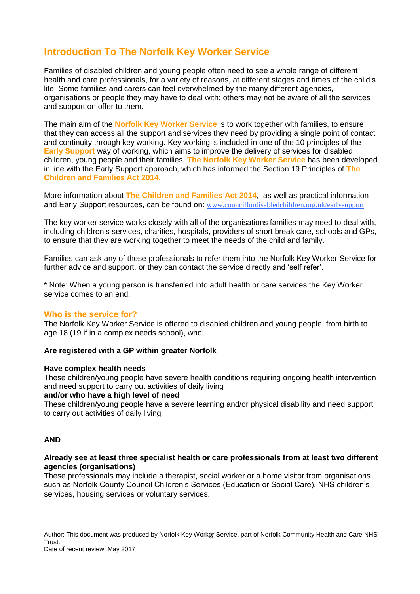# **Introduction To The Norfolk Key Worker Service**

Families of disabled children and young people often need to see a whole range of different health and care professionals, for a variety of reasons, at different stages and times of the child's life. Some families and carers can feel overwhelmed by the many different agencies, organisations or people they may have to deal with; others may not be aware of all the services and support on offer to them.

The main aim of the **Norfolk Key Worker Service** is to work together with families, to ensure that they can access all the support and services they need by providing a single point of contact and continuity through key working. Key working is included in one of the 10 principles of the **Early Support** way of working, which aims to improve the delivery of services for disabled children, young people and their families. **The Norfolk Key Worker Service** has been developed in line with the Early Support approach, which has informed the Section 19 Principles of **The Children and Families Act 2014.** 

More information about **The Children and Families Act 2014**, as well as practical information and Early Support resources, can be found on: [www.councilfordisabledchildren.org.uk/earlysupport](http://www.councilfordisabledchildren.org.uk/earlysupport)

The key worker service works closely with all of the organisations families may need to deal with, including children's services, charities, hospitals, providers of short break care, schools and GPs, to ensure that they are working together to meet the needs of the child and family.

Families can ask any of these professionals to refer them into the Norfolk Key Worker Service for further advice and support, or they can contact the service directly and 'self refer'.

\* Note: When a young person is transferred into adult health or care services the Key Worker service comes to an end.

## **Who is the service for?**

The Norfolk Key Worker Service is offered to disabled children and young people, from birth to age 18 (19 if in a complex needs school), who:

### **Are registered with a GP within greater Norfolk**

### **Have complex health needs**

These children/young people have severe health conditions requiring ongoing health intervention and need support to carry out activities of daily living

### **and/or who have a high level of need**

These children/young people have a severe learning and/or physical disability and need support to carry out activities of daily living

### **AND**

### **Already see at least three specialist health or care professionals from at least two different agencies (organisations)**

These professionals may include a therapist, social worker or a home visitor from organisations such as Norfolk County Council Children's Services (Education or Social Care), NHS children's services, housing services or voluntary services.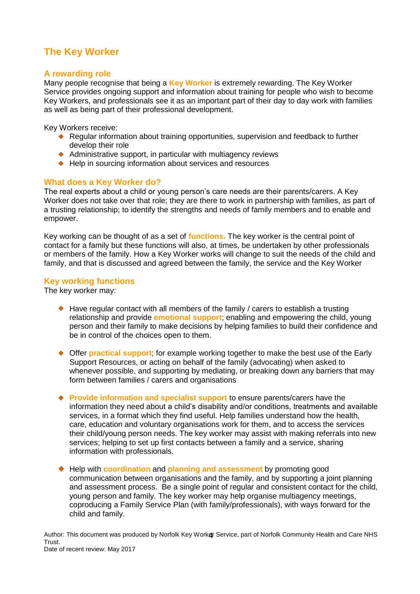# **The Key Worker**

## **A rewarding role**

Many people recognise that being a **Key Worker** is extremely rewarding. The Key Worker Service provides ongoing support and information about training for people who wish to become Key Workers, and professionals see it as an important part of their day to day work with families as well as being part of their professional development.

Key Workers receive:

- ◆ Regular information about training opportunities, supervision and feedback to further develop their role
- $\bullet$  Administrative support, in particular with multiagency reviews
- ◆ Help in sourcing information about services and resources

## **What does a Key Worker do?**

The real experts about a child or young person's care needs are their parents/carers. A Key Worker does not take over that role; they are there to work in partnership with families, as part of a trusting relationship; to identify the strengths and needs of family members and to enable and empower.

Key working can be thought of as a set of **functions.** The key worker is the central point of contact for a family but these functions will also, at times, be undertaken by other professionals or members of the family. How a Key Worker works will change to suit the needs of the child and family, and that is discussed and agreed between the family, the service and the Key Worker

## **Key working functions**

The key worker may:

- $\bullet$  Have regular contact with all members of the family / carers to establish a trusting relationship and provide **emotional support**; enabling and empowering the child, young person and their family to make decisions by helping families to build their confidence and be in control of the choices open to them.
- Offer **practical support**; for example working together to make the best use of the Early Support Resources, or acting on behalf of the family (advocating) when asked to whenever possible, and supporting by mediating, or breaking down any barriers that may form between families / carers and organisations
- **Provide information and specialist support** to ensure parents/carers have the information they need about a child's disability and/or conditions, treatments and available services, in a format which they find useful. Help families understand how the health, care, education and voluntary organisations work for them, and to access the services their child/young person needs. The key worker may assist with making referrals into new services; helping to set up first contacts between a family and a service, sharing information with professionals.
- Help with **coordination** and **planning and assessment** by promoting good communication between organisations and the family, and by supporting a joint planning and assessment process. Be a single point of regular and consistent contact for the child, young person and family. The key worker may help organise multiagency meetings, coproducing a Family Service Plan (with family/professionals), with ways forward for the child and family.

Author: This document was produced by Norfolk Key Worker Service, part of Norfolk Community Health and Care NHS<br>-Trust.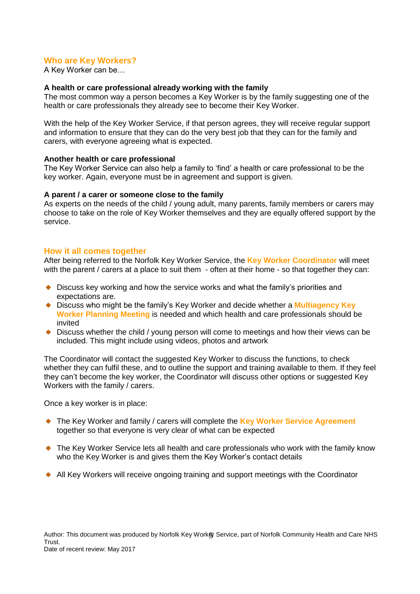## **Who are Key Workers?**

A Key Worker can be…

### **A health or care professional already working with the family**

The most common way a person becomes a Key Worker is by the family suggesting one of the health or care professionals they already see to become their Key Worker.

With the help of the Key Worker Service, if that person agrees, they will receive regular support and information to ensure that they can do the very best job that they can for the family and carers, with everyone agreeing what is expected.

### **Another health or care professional**

The Key Worker Service can also help a family to 'find' a health or care professional to be the key worker. Again, everyone must be in agreement and support is given.

### **A parent / a carer or someone close to the family**

As experts on the needs of the child / young adult, many parents, family members or carers may choose to take on the role of Key Worker themselves and they are equally offered support by the service.

### **How it all comes together**

After being referred to the Norfolk Key Worker Service, the **Key Worker Coordinator** will meet with the parent / carers at a place to suit them - often at their home - so that together they can:

- Discuss key working and how the service works and what the family's priorities and expectations are.
- Discuss who might be the family's Key Worker and decide whether a **Multiagency Key Worker Planning Meeting** is needed and which health and care professionals should be invited
- Discuss whether the child / young person will come to meetings and how their views can be included. This might include using videos, photos and artwork

The Coordinator will contact the suggested Key Worker to discuss the functions, to check whether they can fulfil these, and to outline the support and training available to them. If they feel they can't become the key worker, the Coordinator will discuss other options or suggested Key Workers with the family / carers.

Once a key worker is in place:

- ◆ The Key Worker and family / carers will complete the Key Worker Service Agreement together so that everyone is very clear of what can be expected
- ◆ The Key Worker Service lets all health and care professionals who work with the family know who the Key Worker is and gives them the Key Worker's contact details
- All Key Workers will receive ongoing training and support meetings with the Coordinator